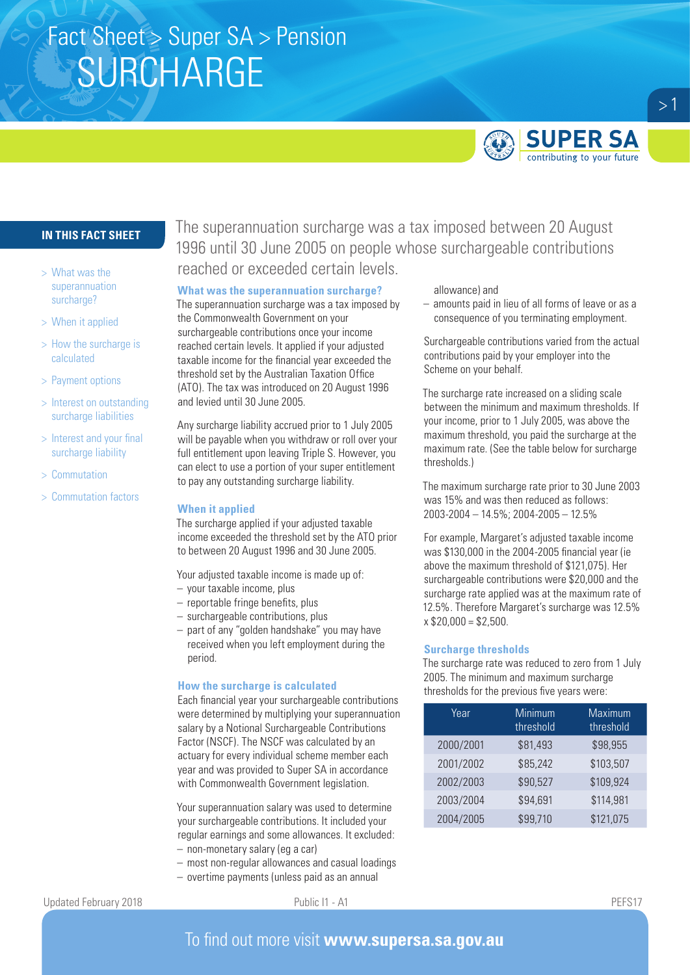# Fact Sheet > Super SA > Pension **SURCHARGE**



## **IN THIS FACT SHEET**

- > What was the superannuation surcharge?
- > When it applied
- > How the surcharge is calculated
- > Payment options
- > Interest on outstanding surcharge liabilities
- > Interest and your final surcharge liability
- > Commutation
- > Commutation factors

The superannuation surcharge was a tax imposed between 20 August 1996 until 30 June 2005 on people whose surchargeable contributions reached or exceeded certain levels.

### **What was the superannuation surcharge?**

The superannuation surcharge was a tax imposed by the Commonwealth Government on your surchargeable contributions once your income reached certain levels. It applied if your adjusted taxable income for the financial year exceeded the threshold set by the Australian Taxation Office (ATO). The tax was introduced on 20 August 1996 and levied until 30 June 2005.

Any surcharge liability accrued prior to 1 July 2005 will be payable when you withdraw or roll over your full entitlement upon leaving Triple S. However, you can elect to use a portion of your super entitlement to pay any outstanding surcharge liability.

### **When it applied**

The surcharge applied if your adjusted taxable income exceeded the threshold set by the ATO prior to between 20 August 1996 and 30 June 2005.

Your adjusted taxable income is made up of:

- your taxable income, plus
- reportable fringe benefits, plus
- surchargeable contributions, plus
- part of any "golden handshake" you may have received when you left employment during the period.

### **How the surcharge is calculated**

Each financial year your surchargeable contributions were determined by multiplying your superannuation salary by a Notional Surchargeable Contributions Factor (NSCF). The NSCF was calculated by an actuary for every individual scheme member each year and was provided to Super SA in accordance with Commonwealth Government legislation.

Your superannuation salary was used to determine your surchargeable contributions. It included your regular earnings and some allowances. It excluded:

- non-monetary salary (eg a car)
- most non-regular allowances and casual loadings
- overtime payments (unless paid as an annual

allowance) and

– amounts paid in lieu of all forms of leave or as a consequence of you terminating employment.

Surchargeable contributions varied from the actual contributions paid by your employer into the Scheme on your behalf.

The surcharge rate increased on a sliding scale between the minimum and maximum thresholds. If your income, prior to 1 July 2005, was above the maximum threshold, you paid the surcharge at the maximum rate. (See the table below for surcharge thresholds.)

The maximum surcharge rate prior to 30 June 2003 was 15% and was then reduced as follows: 2003-2004 – 14.5%; 2004-2005 – 12.5%

For example, Margaret's adjusted taxable income was \$130,000 in the 2004-2005 financial year (ie above the maximum threshold of \$121,075). Her surchargeable contributions were \$20,000 and the surcharge rate applied was at the maximum rate of 12.5%. Therefore Margaret's surcharge was 12.5%  $x$  \$20,000 = \$2,500.

### **Surcharge thresholds**

The surcharge rate was reduced to zero from 1 July 2005. The minimum and maximum surcharge thresholds for the previous five years were:

| Year      | Minimum<br>threshold | <b>Maximum</b><br>threshold |
|-----------|----------------------|-----------------------------|
| 2000/2001 | \$81,493             | \$98,955                    |
| 2001/2002 | \$85,242             | \$103,507                   |
| 2002/2003 | \$90,527             | \$109,924                   |
| 2003/2004 | \$94,691             | \$114,981                   |
| 2004/2005 | \$99,710             | \$121,075                   |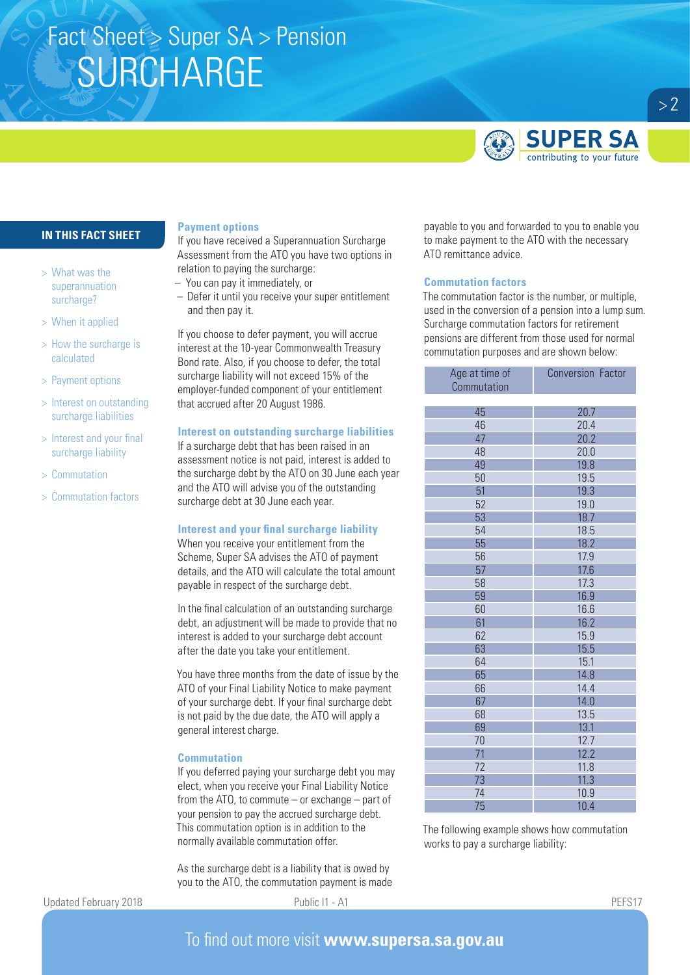# Fact Sheet > Super SA > Pension **SURCHARGE**



## **IN THIS FACT SHEET**

- > What was the superannuation surcharge?
- > When it applied
- > How the surcharge is calculated
- > Payment options
- > Interest on outstanding surcharge liabilities
- > Interest and your final surcharge liability
- > Commutation
- > Commutation factors

### **Payment options**

If you have received a Superannuation Surcharge Assessment from the ATO you have two options in relation to paying the surcharge:

- You can pay it immediately, or
- Defer it until you receive your super entitlement and then pay it.

If you choose to defer payment, you will accrue interest at the 10-year Commonwealth Treasury Bond rate. Also, if you choose to defer, the total surcharge liability will not exceed 15% of the employer-funded component of your entitlement that accrued after 20 August 1986.

## **Interest on outstanding surcharge liabilities**

If a surcharge debt that has been raised in an assessment notice is not paid, interest is added to the surcharge debt by the ATO on 30 June each year and the ATO will advise you of the outstanding surcharge debt at 30 June each year.

## **Interest and your final surcharge liability**

When you receive your entitlement from the Scheme, Super SA advises the ATO of payment details, and the ATO will calculate the total amount payable in respect of the surcharge debt.

In the final calculation of an outstanding surcharge debt, an adjustment will be made to provide that no interest is added to your surcharge debt account after the date you take your entitlement.

You have three months from the date of issue by the ATO of your Final Liability Notice to make payment of your surcharge debt. If your final surcharge debt is not paid by the due date, the ATO will apply a general interest charge.

### **Commutation**

If you deferred paying your surcharge debt you may elect, when you receive your Final Liability Notice from the ATO, to commute – or exchange – part of your pension to pay the accrued surcharge debt. This commutation option is in addition to the normally available commutation offer.

As the surcharge debt is a liability that is owed by you to the ATO, the commutation payment is made payable to you and forwarded to you to enable you to make payment to the ATO with the necessary ATO remittance advice.

### **Commutation factors**

The commutation factor is the number, or multiple, used in the conversion of a pension into a lump sum. Surcharge commutation factors for retirement pensions are different from those used for normal commutation purposes and are shown below:

| Age at time of | <b>Conversion Factor</b> |
|----------------|--------------------------|
| Commutation    |                          |
|                |                          |
| 45             | 20.7                     |
| 46             | 20.4                     |
| 47             | 20.2                     |
| 48             | 20.0                     |
| 49             | 19.8                     |
| 50             | 19.5                     |
| 51             | 19.3                     |
| 52             | 19.0                     |
| 53             | 18.7                     |
| 54             | 18.5                     |
| 55             | 18.2                     |
| 56             | 17.9                     |
| 57             | 17.6                     |
| 58             | 17.3                     |
| 59             | 16.9                     |
| 60             | 16.6                     |
| 61             | 16.2                     |
| 62             | 15.9                     |
| 63             | 15.5                     |
| 64             | 15.1                     |
| 65             | 14.8                     |
| 66             | 14.4                     |
| 67             | 14.0                     |
| 68             | 13.5                     |
| 69             | 13.1                     |
| 70             | 12.7                     |
| 71             | 12.2                     |
| 72             | 11.8                     |
| 73             | 11.3                     |
| 74             | 10.9                     |
| 75             | 10.4                     |

The following example shows how commutation works to pay a surcharge liability:

Updated February 2018 **PUDLIC II** - A1 PUDLIC I1 - A1 PEFS17